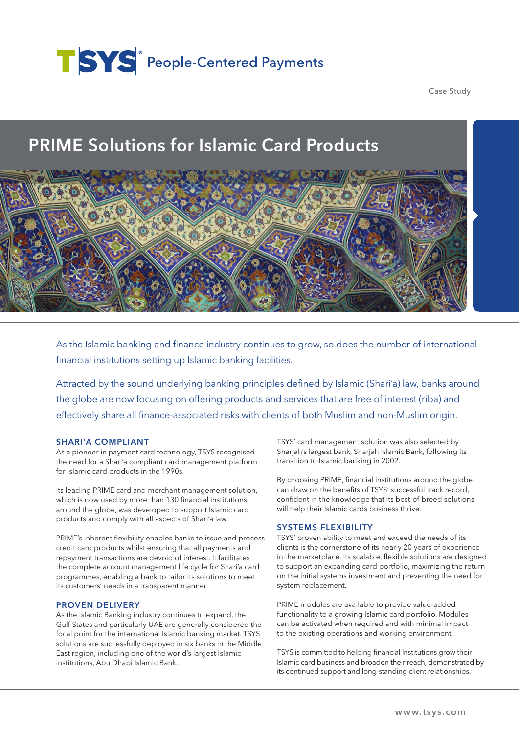# TSYS<sup>®</sup> People-Centered Payments

Case Study

# PRIME Solutions for Islamic Card Products



As the Islamic banking and finance industry continues to grow, so does the number of international financial institutions setting up Islamic banking facilities.

Attracted by the sound underlying banking principles defined by Islamic (Shari'a) law, banks around the globe are now focusing on offering products and services that are free of interest (riba) and effectively share all finance-associated risks with clients of both Muslim and non-Muslim origin.

#### SHARI'A COMPLIANT

As a pioneer in payment card technology, TSYS recognised the need for a Shari'a compliant card management platform for Islamic card products in the 1990s.

Its leading PRIME card and merchant management solution, which is now used by more than 130 financial institutions around the globe, was developed to support Islamic card products and comply with all aspects of Shari'a law.

PRIME's inherent flexibility enables banks to issue and process credit card products whilst ensuring that all payments and repayment transactions are devoid of interest. It facilitates the complete account management life cycle for Shari'a card programmes, enabling a bank to tailor its solutions to meet its customers' needs in a transparent manner.

## PROVEN DELIVERY

As the Islamic Banking industry continues to expand, the Gulf States and particularly UAE are generally considered the focal point for the international Islamic banking market. TSYS solutions are successfully deployed in six banks in the Middle East region, including one of the world's largest Islamic institutions, Abu Dhabi Islamic Bank.

TSYS' card management solution was also selected by Sharjah's largest bank, Sharjah Islamic Bank, following its transition to Islamic banking in 2002.

By choosing PRIME, financial institutions around the globe can draw on the benefits of TSYS' successful track record, confident in the knowledge that its best-of-breed solutions will help their Islamic cards business thrive.

#### SYSTEMS FLEXIBILITY

TSYS' proven ability to meet and exceed the needs of its clients is the cornerstone of its nearly 20 years of experience in the marketplace. Its scalable, flexible solutions are designed to support an expanding card portfolio, maximizing the return on the initial systems investment and preventing the need for system replacement.

PRIME modules are available to provide value-added functionality to a growing Islamic card portfolio. Modules can be activated when required and with minimal impact to the existing operations and working environment.

TSYS is committed to helping financial Institutions grow their Islamic card business and broaden their reach, demonstrated by its continued support and long-standing client relationships.